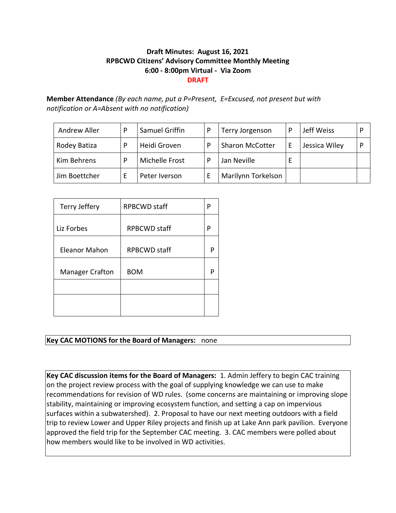#### **Draft Minutes: August 16, 2021 RPBCWD Citizens' Advisory Committee Monthly Meeting 6:00 - 8:00pm Virtual - Via Zoom DRAFT**

**Member Attendance** *(By each name, put a P=Present, E=Excused, not present but with notification or A=Absent with no notification)*

| Andrew Aller  | Samuel Griffin | Terry Jorgenson    | P | Jeff Weiss    |  |
|---------------|----------------|--------------------|---|---------------|--|
| Rodey Batiza  | Heidi Groven   | Sharon McCotter    | E | Jessica Wiley |  |
| Kim Behrens   | Michelle Frost | Jan Neville        | E |               |  |
| Jim Boettcher | Peter Iverson  | Marilynn Torkelson |   |               |  |

| Terry Jeffery          | <b>RPBCWD staff</b> | P |
|------------------------|---------------------|---|
| Liz Forbes             | <b>RPBCWD staff</b> | P |
| Eleanor Mahon          | <b>RPBCWD</b> staff | P |
| <b>Manager Crafton</b> | <b>BOM</b>          | P |
|                        |                     |   |
|                        |                     |   |

#### **Key CAC MOTIONS for the Board of Managers:** none

**Key CAC discussion items for the Board of Managers:** 1. Admin Jeffery to begin CAC training on the project review process with the goal of supplying knowledge we can use to make recommendations for revision of WD rules. (some concerns are maintaining or improving slope stability, maintaining or improving ecosystem function, and setting a cap on impervious surfaces within a subwatershed). 2. Proposal to have our next meeting outdoors with a field trip to review Lower and Upper Riley projects and finish up at Lake Ann park pavilion. Everyone approved the field trip for the September CAC meeting. 3. CAC members were polled about how members would like to be involved in WD activities.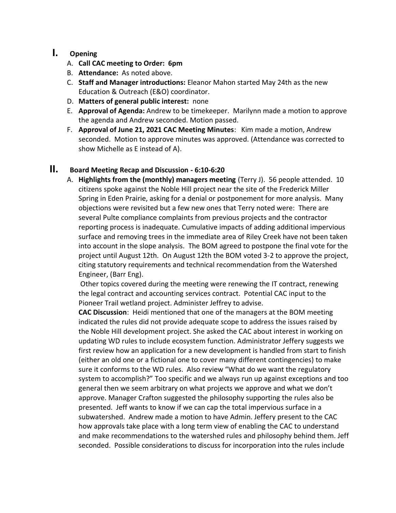### **I. Opening**

- A. **Call CAC meeting to Order: 6pm**
- B. **Attendance:** As noted above.
- C. **Staff and Manager introductions:** Eleanor Mahon started May 24th as the new Education & Outreach (E&O) coordinator.
- D. **Matters of general public interest:** none
- E. **Approval of Agenda:** Andrew to be timekeeper. Marilynn made a motion to approve the agenda and Andrew seconded. Motion passed.
- F. **Approval of June 21, 2021 CAC Meeting Minutes**: Kim made a motion, Andrew seconded. Motion to approve minutes was approved. (Attendance was corrected to show Michelle as E instead of A).

### **II. Board Meeting Recap and Discussion - 6:10-6:20**

A. **Highlights from the (monthly) managers meeting** (Terry J). 56 people attended. 10 citizens spoke against the Noble Hill project near the site of the Frederick Miller Spring in Eden Prairie, asking for a denial or postponement for more analysis. Many objections were revisited but a few new ones that Terry noted were: There are several Pulte compliance complaints from previous projects and the contractor reporting process is inadequate. Cumulative impacts of adding additional impervious surface and removing trees in the immediate area of Riley Creek have not been taken into account in the slope analysis. The BOM agreed to postpone the final vote for the project until August 12th. On August 12th the BOM voted 3-2 to approve the project, citing statutory requirements and technical recommendation from the Watershed Engineer, (Barr Eng).

Other topics covered during the meeting were renewing the IT contract, renewing the legal contract and accounting services contract. Potential CAC input to the Pioneer Trail wetland project. Administer Jeffrey to advise.

**CAC Discussion**: Heidi mentioned that one of the managers at the BOM meeting indicated the rules did not provide adequate scope to address the issues raised by the Noble Hill development project. She asked the CAC about interest in working on updating WD rules to include ecosystem function. Administrator Jeffery suggests we first review how an application for a new development is handled from start to finish (either an old one or a fictional one to cover many different contingencies) to make sure it conforms to the WD rules. Also review "What do we want the regulatory system to accomplish?" Too specific and we always run up against exceptions and too general then we seem arbitrary on what projects we approve and what we don't approve. Manager Crafton suggested the philosophy supporting the rules also be presented. Jeff wants to know if we can cap the total impervious surface in a subwatershed. Andrew made a motion to have Admin. Jeffery present to the CAC how approvals take place with a long term view of enabling the CAC to understand and make recommendations to the watershed rules and philosophy behind them. Jeff seconded. Possible considerations to discuss for incorporation into the rules include